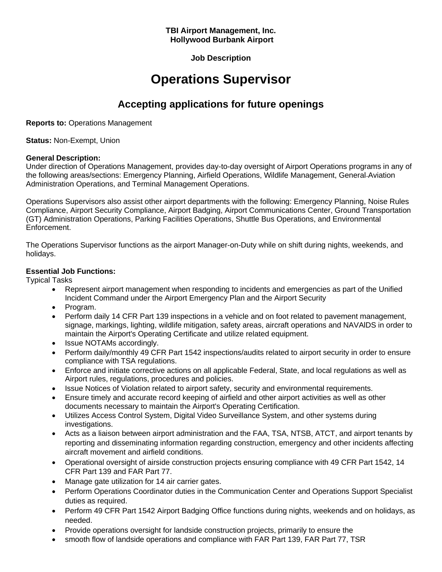### **TBI Airport Management, Inc. Hollywood Burbank Airport**

**Job Description**

# **Operations Supervisor**

# **Accepting applications for future openings**

**Reports to:** Operations Management

**Status:** Non-Exempt, Union

### **General Description:**

Under direction of Operations Management, provides day-to-day oversight of Airport Operations programs in any of the following areas/sections: Emergency Planning, Airfield Operations, Wildlife Management, General Aviation Administration Operations, and Terminal Management Operations.

Operations Supervisors also assist other airport departments with the following: Emergency Planning, Noise Rules Compliance, Airport Security Compliance, Airport Badging, Airport Communications Center, Ground Transportation (GT) Administration Operations, Parking Facilities Operations, Shuttle Bus Operations, and Environmental Enforcement.

The Operations Supervisor functions as the airport Manager-on-Duty while on shift during nights, weekends, and holidays.

## **Essential Job Functions:**

Typical Tasks

- Represent airport management when responding to incidents and emergencies as part of the Unified Incident Command under the Airport Emergency Plan and the Airport Security
- Program.
- Perform daily 14 CFR Part 139 inspections in a vehicle and on foot related to pavement management, signage, markings, lighting, wildlife mitigation, safety areas, aircraft operations and NAVAlDS in order to maintain the Airport's Operating Certificate and utilize related equipment.
- Issue NOTAMs accordingly.
- Perform daily/monthly 49 CFR Part 1542 inspections/audits related to airport security in order to ensure compliance with TSA regulations.
- Enforce and initiate corrective actions on all applicable Federal, State, and local regulations as well as Airport rules, regulations, procedures and policies.
- Issue Notices of Violation related to airport safety, security and environmental requirements.
- Ensure timely and accurate record keeping of airfield and other airport activities as well as other documents necessary to maintain the Airport's Operating Certification.
- Utilizes Access Control System, Digital Video Surveillance System, and other systems during investigations.
- Acts as a liaison between airport administration and the FAA, TSA, NTSB, ATCT, and airport tenants by reporting and disseminating information regarding construction, emergency and other incidents affecting aircraft movement and airfield conditions.
- Operational oversight of airside construction projects ensuring compliance with 49 CFR Part 1542, 14 CFR Part 139 and FAR Part 77.
- Manage gate utilization for 14 air carrier gates.
- Perform Operations Coordinator duties in the Communication Center and Operations Support Specialist duties as required.
- Perform 49 CFR Part 1542 Airport Badging Office functions during nights, weekends and on holidays, as needed.
- Provide operations oversight for landside construction projects, primarily to ensure the
- smooth flow of landside operations and compliance with FAR Part 139, FAR Part 77, TSR